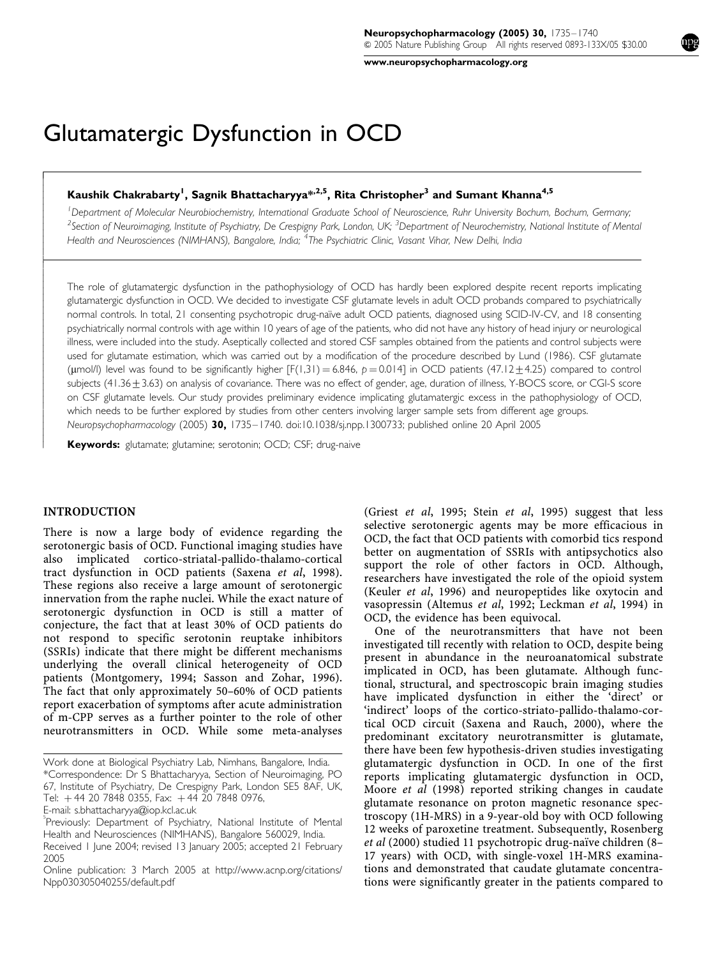www.neuropsychopharmacology.org

# Glutamatergic Dysfunction in OCD

## Kaushik Chakrabarty<sup>1</sup>, Sagnik Bhattacharyya\*<sup>,2,5</sup>, Rita Christopher<sup>3</sup> and Sumant Khanna<sup>4,5</sup>

<sup>1</sup> Department of Molecular Neurobiochemistry, International Graduate School of Neuroscience, Ruhr University Bochum, Bochum, Germany; <sup>2</sup>Section of Neuroimaging, Institute of Psychiatry, De Crespigny Park, London, UK; <sup>3</sup>Department of Neurochemistry, National Institute of Mental Health and Neurosciences (NIMHANS), Bangalore, India; <sup>4</sup>The Psychiatric Clinic, Vasant Vihar, New Delhi, India

The role of glutamatergic dysfunction in the pathophysiology of OCD has hardly been explored despite recent reports implicating glutamatergic dysfunction in OCD. We decided to investigate CSF glutamate levels in adult OCD probands compared to psychiatrically normal controls. In total, 21 consenting psychotropic drug-naïve adult OCD patients, diagnosed using SCID-IV-CV, and 18 consenting psychiatrically normal controls with age within 10 years of age of the patients, who did not have any history of head injury or neurological illness, were included into the study. Aseptically collected and stored CSF samples obtained from the patients and control subjects were used for glutamate estimation, which was carried out by a modification of the procedure described by Lund (1986). CSF glutamate (umol/l) level was found to be significantly higher  $[F(1,31) = 6.846, p = 0.014]$  in OCD patients (47.12+4.25) compared to control subjects  $(41.36 + 3.63)$  on analysis of covariance. There was no effect of gender, age, duration of illness, Y-BOCS score, or CGI-S score on CSF glutamate levels. Our study provides preliminary evidence implicating glutamatergic excess in the pathophysiology of OCD, which needs to be further explored by studies from other centers involving larger sample sets from different age groups. Neuropsychopharmacology (2005) 30, 1735-1740. doi:10.1038/sj.npp.1300733; published online 20 April 2005

Keywords: glutamate; glutamine; serotonin; OCD; CSF; drug-naive

#### INTRODUCTION

ŕ  $\overline{\phantom{a}}$  $\bigg\}$  $\overline{\phantom{a}}$  $\overline{\phantom{a}}$  $\overline{\phantom{a}}$  $\bigg\}$  $\bigg\}$  $\overline{\phantom{a}}$  $\overline{\phantom{a}}$  $\overline{\phantom{a}}$  $\overline{\phantom{a}}$  $\bigg\}$ l ľ  $\overline{\phantom{a}}$  $\overline{\phantom{a}}$  $\bigg\}$  $\bigg\}$  $\overline{\phantom{a}}$  $\overline{\phantom{a}}$  $\overline{\phantom{a}}$  $\overline{\phantom{a}}$  $\bigg\}$  $\bigg\}$  $\overline{\phantom{a}}$  $\overline{\phantom{a}}$  $\overline{\phantom{a}}$  $\overline{\phantom{a}}$  $\bigg\}$  $\overline{\phantom{a}}$  $\overline{\phantom{a}}$  $\overline{\phantom{a}}$  $\overline{\phantom{a}}$  $\bigg\}$  $\bigg\}$  $\overline{\phantom{a}}$  $\overline{\phantom{a}}$  $\overline{\phantom{a}}$  $\bigg\}$  $\bigg\}$  $\bigg\}$  $\overline{\phantom{a}}$ 

There is now a large body of evidence regarding the serotonergic basis of OCD. Functional imaging studies have also implicated cortico-striatal-pallido-thalamo-cortical tract dysfunction in OCD patients (Saxena et al, 1998). These regions also receive a large amount of serotonergic innervation from the raphe nuclei. While the exact nature of serotonergic dysfunction in OCD is still a matter of conjecture, the fact that at least 30% of OCD patients do not respond to specific serotonin reuptake inhibitors (SSRIs) indicate that there might be different mechanisms underlying the overall clinical heterogeneity of OCD patients (Montgomery, 1994; Sasson and Zohar, 1996). The fact that only approximately 50–60% of OCD patients report exacerbation of symptoms after acute administration of m-CPP serves as a further pointer to the role of other neurotransmitters in OCD. While some meta-analyses

(Griest et al, 1995; Stein et al, 1995) suggest that less selective serotonergic agents may be more efficacious in OCD, the fact that OCD patients with comorbid tics respond better on augmentation of SSRIs with antipsychotics also support the role of other factors in OCD. Although, researchers have investigated the role of the opioid system (Keuler et al, 1996) and neuropeptides like oxytocin and vasopressin (Altemus et al, 1992; Leckman et al, 1994) in OCD, the evidence has been equivocal.

One of the neurotransmitters that have not been investigated till recently with relation to OCD, despite being present in abundance in the neuroanatomical substrate implicated in OCD, has been glutamate. Although functional, structural, and spectroscopic brain imaging studies have implicated dysfunction in either the 'direct' or 'indirect' loops of the cortico-striato-pallido-thalamo-cortical OCD circuit (Saxena and Rauch, 2000), where the predominant excitatory neurotransmitter is glutamate, there have been few hypothesis-driven studies investigating glutamatergic dysfunction in OCD. In one of the first reports implicating glutamatergic dysfunction in OCD, Moore et al (1998) reported striking changes in caudate glutamate resonance on proton magnetic resonance spectroscopy (1H-MRS) in a 9-year-old boy with OCD following 12 weeks of paroxetine treatment. Subsequently, Rosenberg et al (2000) studied 11 psychotropic drug-naïve children (8-17 years) with OCD, with single-voxel 1H-MRS examinations and demonstrated that caudate glutamate concentrations were significantly greater in the patients compared to

Work done at Biological Psychiatry Lab, Nimhans, Bangalore, India. \*Correspondence: Dr S Bhattacharyya, Section of Neuroimaging, PO 67, Institute of Psychiatry, De Crespigny Park, London SE5 8AF, UK, Tel:  $+44$  20 7848 0355, Fax:  $+44$  20 7848 0976,

E-mail: s.bhattacharyya@iop.kcl.ac.uk

Received 1 June 2004; revised 13 January 2005; accepted 21 February Previously: Department of Psychiatry, National Institute of Mental Health and Neurosciences (NIMHANS), Bangalore 560029, India.

<sup>2005</sup>

Online publication: 3 March 2005 at http://www.acnp.org/citations/ Npp030305040255/default.pdf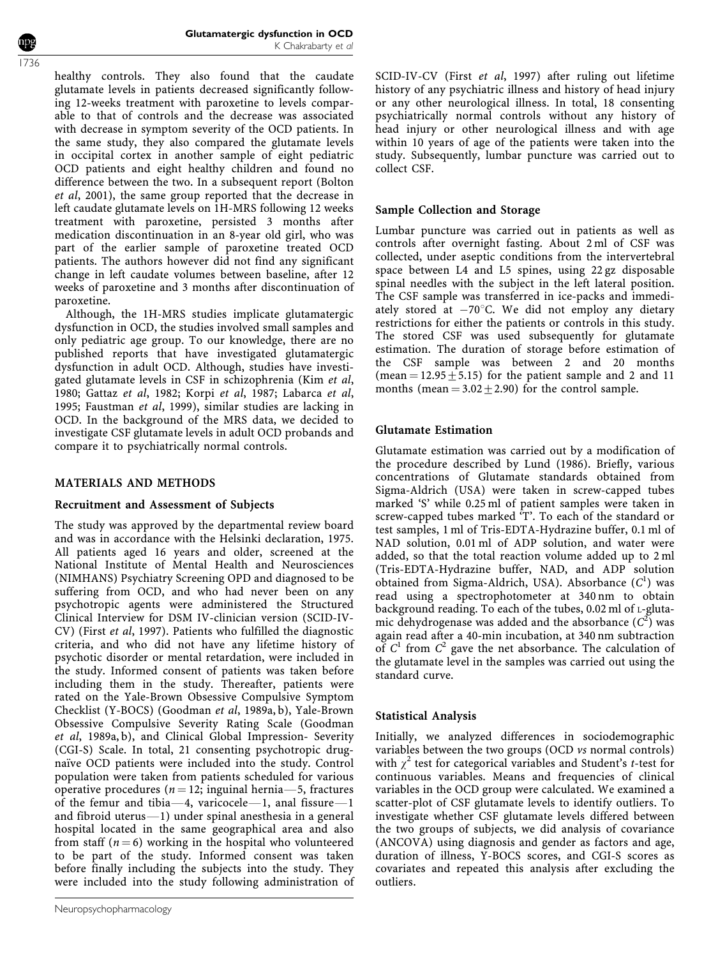1736

healthy controls. They also found that the caudate glutamate levels in patients decreased significantly following 12-weeks treatment with paroxetine to levels comparable to that of controls and the decrease was associated with decrease in symptom severity of the OCD patients. In the same study, they also compared the glutamate levels in occipital cortex in another sample of eight pediatric OCD patients and eight healthy children and found no difference between the two. In a subsequent report (Bolton et al, 2001), the same group reported that the decrease in left caudate glutamate levels on 1H-MRS following 12 weeks treatment with paroxetine, persisted 3 months after medication discontinuation in an 8-year old girl, who was part of the earlier sample of paroxetine treated OCD patients. The authors however did not find any significant change in left caudate volumes between baseline, after 12 weeks of paroxetine and 3 months after discontinuation of paroxetine.

Although, the 1H-MRS studies implicate glutamatergic dysfunction in OCD, the studies involved small samples and only pediatric age group. To our knowledge, there are no published reports that have investigated glutamatergic dysfunction in adult OCD. Although, studies have investigated glutamate levels in CSF in schizophrenia (Kim et al, 1980; Gattaz et al, 1982; Korpi et al, 1987; Labarca et al, 1995; Faustman et al, 1999), similar studies are lacking in OCD. In the background of the MRS data, we decided to investigate CSF glutamate levels in adult OCD probands and compare it to psychiatrically normal controls.

## MATERIALS AND METHODS

## Recruitment and Assessment of Subjects

The study was approved by the departmental review board and was in accordance with the Helsinki declaration, 1975. All patients aged 16 years and older, screened at the National Institute of Mental Health and Neurosciences (NIMHANS) Psychiatry Screening OPD and diagnosed to be suffering from OCD, and who had never been on any psychotropic agents were administered the Structured Clinical Interview for DSM IV-clinician version (SCID-IV-CV) (First et al, 1997). Patients who fulfilled the diagnostic criteria, and who did not have any lifetime history of psychotic disorder or mental retardation, were included in the study. Informed consent of patients was taken before including them in the study. Thereafter, patients were rated on the Yale-Brown Obsessive Compulsive Symptom Checklist (Y-BOCS) (Goodman et al, 1989a, b), Yale-Brown Obsessive Compulsive Severity Rating Scale (Goodman et al, 1989a, b), and Clinical Global Impression- Severity (CGI-S) Scale. In total, 21 consenting psychotropic drugnaïve OCD patients were included into the study. Control population were taken from patients scheduled for various operative procedures ( $n = 12$ ; inguinal hernia—5, fractures of the femur and tibia $-4$ , varicocele $-1$ , anal fissure $-1$ and fibroid uterus $-1$ ) under spinal anesthesia in a general hospital located in the same geographical area and also from staff ( $n = 6$ ) working in the hospital who volunteered to be part of the study. Informed consent was taken before finally including the subjects into the study. They were included into the study following administration of SCID-IV-CV (First et al, 1997) after ruling out lifetime history of any psychiatric illness and history of head injury or any other neurological illness. In total, 18 consenting psychiatrically normal controls without any history of head injury or other neurological illness and with age within 10 years of age of the patients were taken into the study. Subsequently, lumbar puncture was carried out to collect CSF.

## Sample Collection and Storage

Lumbar puncture was carried out in patients as well as controls after overnight fasting. About 2 ml of CSF was collected, under aseptic conditions from the intervertebral space between L4 and L5 spines, using 22 gz disposable spinal needles with the subject in the left lateral position. The CSF sample was transferred in ice-packs and immediately stored at  $-70^{\circ}$ C. We did not employ any dietary restrictions for either the patients or controls in this study. The stored CSF was used subsequently for glutamate estimation. The duration of storage before estimation of the CSF sample was between 2 and 20 months (mean  $= 12.95 + 5.15$ ) for the patient sample and 2 and 11 months (mean  $= 3.02 + 2.90$ ) for the control sample.

## Glutamate Estimation

Glutamate estimation was carried out by a modification of the procedure described by Lund (1986). Briefly, various concentrations of Glutamate standards obtained from Sigma-Aldrich (USA) were taken in screw-capped tubes marked 'S' while 0.25 ml of patient samples were taken in screw-capped tubes marked 'T'. To each of the standard or test samples, 1 ml of Tris-EDTA-Hydrazine buffer, 0.1 ml of NAD solution, 0.01 ml of ADP solution, and water were added, so that the total reaction volume added up to 2 ml (Tris-EDTA-Hydrazine buffer, NAD, and ADP solution obtained from Sigma-Aldrich, USA). Absorbance  $(C^1)$  was read using a spectrophotometer at 340 nm to obtain background reading. To each of the tubes, 0.02 ml of L-glutamic dehydrogenase was added and the absorbance  $(c^2)$  was again read after a 40-min incubation, at 340 nm subtraction of  $C<sup>1</sup>$  from  $C<sup>2</sup>$  gave the net absorbance. The calculation of the glutamate level in the samples was carried out using the standard curve.

### Statistical Analysis

Initially, we analyzed differences in sociodemographic variables between the two groups (OCD vs normal controls) with  $\chi^2$  test for categorical variables and Student's *t*-test for continuous variables. Means and frequencies of clinical variables in the OCD group were calculated. We examined a scatter-plot of CSF glutamate levels to identify outliers. To investigate whether CSF glutamate levels differed between the two groups of subjects, we did analysis of covariance (ANCOVA) using diagnosis and gender as factors and age, duration of illness, Y-BOCS scores, and CGI-S scores as covariates and repeated this analysis after excluding the outliers.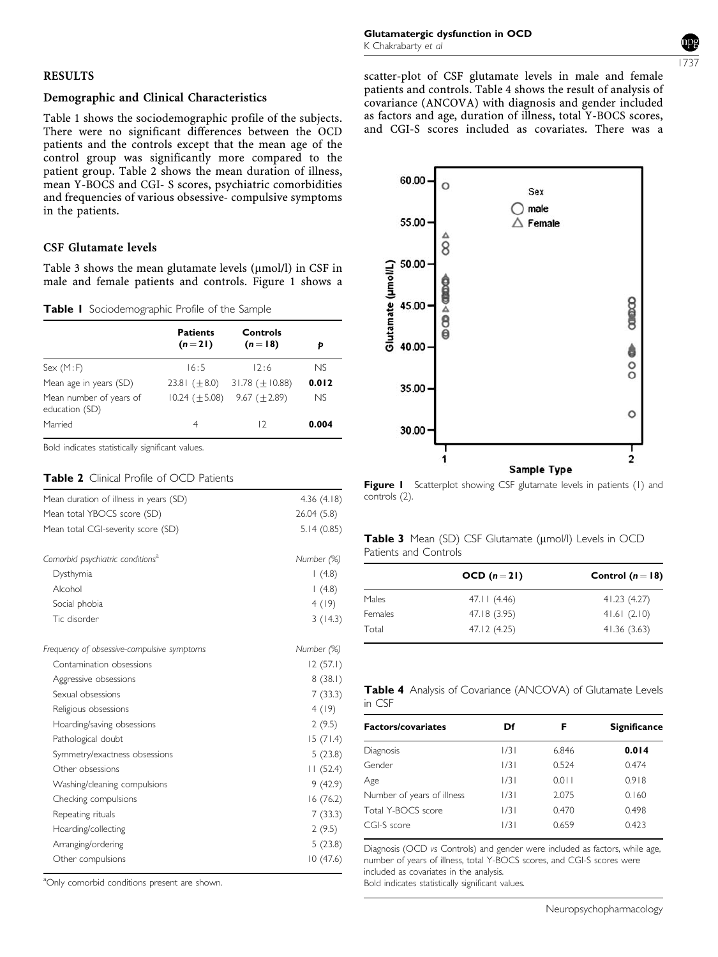#### RESULTS

#### Demographic and Clinical Characteristics

Table 1 shows the sociodemographic profile of the subjects. There were no significant differences between the OCD patients and the controls except that the mean age of the control group was significantly more compared to the patient group. Table 2 shows the mean duration of illness, mean Y-BOCS and CGI- S scores, psychiatric comorbidities and frequencies of various obsessive- compulsive symptoms in the patients.

#### CSF Glutamate levels

Table 3 shows the mean glutamate levels  $(umol/l)$  in CSF in male and female patients and controls. Figure 1 shows a

Table | Sociodemographic Profile of the Sample

|                                           | <b>Patients</b><br>$(n=21)$ | <b>Controls</b><br>$(n=18)$ | Þ     |
|-------------------------------------------|-----------------------------|-----------------------------|-------|
| Sex (M: F)                                | 16:5                        | 12:6                        | NS    |
| Mean age in years (SD)                    | 23.81 $(\pm 8.0)$           | $31.78 (+10.88)$            | 0.012 |
| Mean number of years of<br>education (SD) | $10.24 (+5.08)$             | $9.67 (+ 2.89)$             | NS    |
| Married                                   | 4                           |                             | 0.004 |

Bold indicates statistically significant values.

#### Table 2 Clinical Profile of OCD Patients

| Mean duration of illness in years (SD)       | 4.36(4.18) |
|----------------------------------------------|------------|
| Mean total YBOCS score (SD)                  | 26.04(5.8) |
| Mean total CGI-severity score (SD)           | 5.14(0.85) |
| Comorbid psychiatric conditions <sup>a</sup> | Number (%) |
| Dysthymia                                    | (4.8)      |
| Alcohol                                      | (4.8)      |
| Social phobia                                | 4(19)      |
| Tic disorder                                 | 3(14.3)    |
| Frequency of obsessive-compulsive symptoms   | Number (%) |
| Contamination obsessions                     | 12(57.1)   |
| Aggressive obsessions                        | 8(38.1)    |
| Sexual obsessions                            | 7(33.3)    |
| Religious obsessions                         | 4(19)      |
| Hoarding/saving obsessions                   | 2(9.5)     |
| Pathological doubt                           | 15(71.4)   |
| Symmetry/exactness obsessions                | 5(23.8)    |
| Other obsessions                             | 11(52.4)   |
| Washing/cleaning compulsions                 | 9(42.9)    |
| Checking compulsions                         | 16(76.2)   |
| Repeating rituals                            | 7(33.3)    |
| Hoarding/collecting                          | 2(9.5)     |
| Arranging/ordering                           | 5(23.8)    |
| Other compulsions                            | 10(47.6)   |
|                                              |            |

<sup>a</sup>Only comorbid conditions present are shown.

scatter-plot of CSF glutamate levels in male and female patients and controls. Table 4 shows the result of analysis of covariance (ANCOVA) with diagnosis and gender included as factors and age, duration of illness, total Y-BOCS scores, and CGI-S scores included as covariates. There was a



**Figure I** Scatterplot showing CSF glutamate levels in patients (1) and controls (2).

Table 3 Mean (SD) CSF Glutamate (umol/l) Levels in OCD Patients and Controls

|         | $OCD (n=21)$ | Control $(n=18)$ |
|---------|--------------|------------------|
| Males   | 47.11 (4.46) | 41.23 (4.27)     |
| Females | 47.18 (3.95) | 41.61(2.10)      |
| Total   | 47.12 (4.25) | 41.36(3.63)      |

| Table 4 Analysis of Covariance (ANCOVA) of Glutamate Levels |  |  |  |  |
|-------------------------------------------------------------|--|--|--|--|
| in CSF                                                      |  |  |  |  |

| <b>Factors/covariates</b>  | Df   | F     | <b>Significance</b> |
|----------------------------|------|-------|---------------------|
| Diagnosis                  | 1/31 | 6.846 | 0.014               |
| Gender                     | 1/31 | 0.524 | 0.474               |
| Age                        | 1/31 | 0.011 | 0.918               |
| Number of years of illness | 1/31 | 2.075 | 0.160               |
| Total Y-BOCS score         | 1/31 | 0.470 | 0.498               |
| CGI-S score                | 1/31 | 0.659 | 0.423               |

Diagnosis (OCD vs Controls) and gender were included as factors, while age, number of years of illness, total Y-BOCS scores, and CGI-S scores were included as covariates in the analysis.

Bold indicates statistically significant values.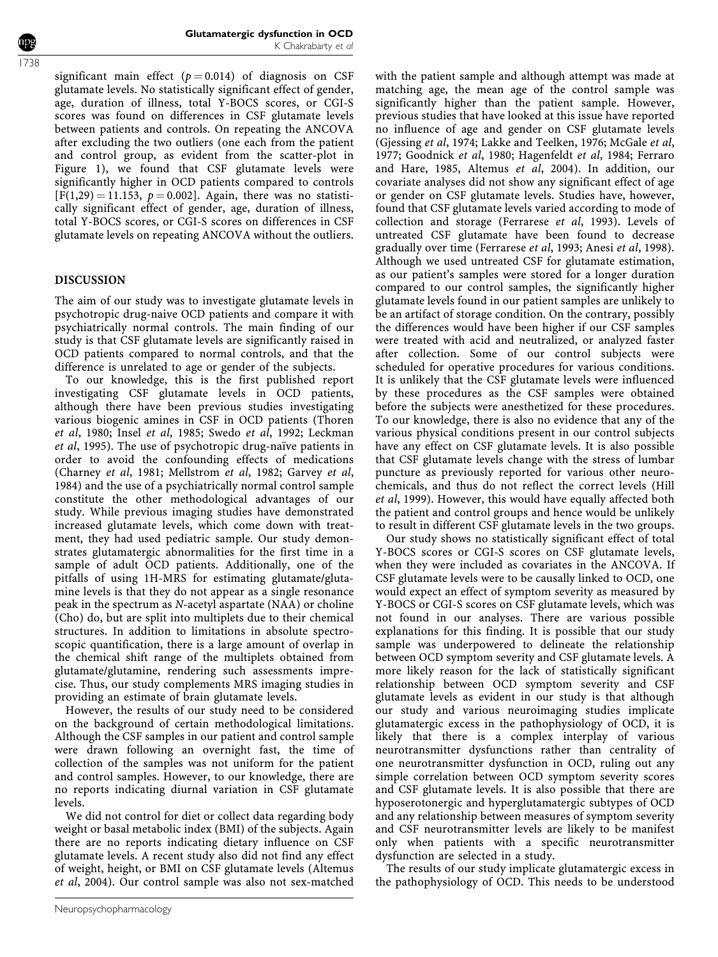1738

significant main effect ( $p = 0.014$ ) of diagnosis on CSF glutamate levels. No statistically significant effect of gender, age, duration of illness, total Y-BOCS scores, or CGI-S scores was found on differences in CSF glutamate levels between patients and controls. On repeating the ANCOVA after excluding the two outliers (one each from the patient and control group, as evident from the scatter-plot in Figure 1), we found that CSF glutamate levels were significantly higher in OCD patients compared to controls  $[F(1,29) = 11.153, p = 0.002]$ . Again, there was no statistically significant effect of gender, age, duration of illness, total Y-BOCS scores, or CGI-S scores on differences in CSF glutamate levels on repeating ANCOVA without the outliers.

## DISCUSSION

The aim of our study was to investigate glutamate levels in psychotropic drug-naive OCD patients and compare it with psychiatrically normal controls. The main finding of our study is that CSF glutamate levels are significantly raised in OCD patients compared to normal controls, and that the difference is unrelated to age or gender of the subjects.

To our knowledge, this is the first published report investigating CSF glutamate levels in OCD patients, although there have been previous studies investigating various biogenic amines in CSF in OCD patients (Thoren et al, 1980; Insel et al, 1985; Swedo et al, 1992; Leckman et al, 1995). The use of psychotropic drug-naïve patients in order to avoid the confounding effects of medications (Charney et al, 1981; Mellstrom et al, 1982; Garvey et al, 1984) and the use of a psychiatrically normal control sample constitute the other methodological advantages of our study. While previous imaging studies have demonstrated increased glutamate levels, which come down with treatment, they had used pediatric sample. Our study demonstrates glutamatergic abnormalities for the first time in a sample of adult OCD patients. Additionally, one of the pitfalls of using 1H-MRS for estimating glutamate/glutamine levels is that they do not appear as a single resonance peak in the spectrum as N-acetyl aspartate (NAA) or choline (Cho) do, but are split into multiplets due to their chemical structures. In addition to limitations in absolute spectroscopic quantification, there is a large amount of overlap in the chemical shift range of the multiplets obtained from glutamate/glutamine, rendering such assessments imprecise. Thus, our study complements MRS imaging studies in providing an estimate of brain glutamate levels.

However, the results of our study need to be considered on the background of certain methodological limitations. Although the CSF samples in our patient and control sample were drawn following an overnight fast, the time of collection of the samples was not uniform for the patient and control samples. However, to our knowledge, there are no reports indicating diurnal variation in CSF glutamate levels.

We did not control for diet or collect data regarding body weight or basal metabolic index (BMI) of the subjects. Again there are no reports indicating dietary influence on CSF glutamate levels. A recent study also did not find any effect of weight, height, or BMI on CSF glutamate levels (Altemus et al, 2004). Our control sample was also not sex-matched

Neuropsychopharmacology

with the patient sample and although attempt was made at matching age, the mean age of the control sample was significantly higher than the patient sample. However, previous studies that have looked at this issue have reported no influence of age and gender on CSF glutamate levels (Gjessing et al, 1974; Lakke and Teelken, 1976; McGale et al, 1977; Goodnick et al, 1980; Hagenfeldt et al, 1984; Ferraro and Hare, 1985, Altemus et al, 2004). In addition, our covariate analyses did not show any significant effect of age or gender on CSF glutamate levels. Studies have, however, found that CSF glutamate levels varied according to mode of collection and storage (Ferrarese et al, 1993). Levels of untreated CSF glutamate have been found to decrease gradually over time (Ferrarese et al, 1993; Anesi et al, 1998). Although we used untreated CSF for glutamate estimation, as our patient's samples were stored for a longer duration compared to our control samples, the significantly higher glutamate levels found in our patient samples are unlikely to be an artifact of storage condition. On the contrary, possibly the differences would have been higher if our CSF samples were treated with acid and neutralized, or analyzed faster after collection. Some of our control subjects were scheduled for operative procedures for various conditions. It is unlikely that the CSF glutamate levels were influenced by these procedures as the CSF samples were obtained before the subjects were anesthetized for these procedures. To our knowledge, there is also no evidence that any of the various physical conditions present in our control subjects have any effect on CSF glutamate levels. It is also possible that CSF glutamate levels change with the stress of lumbar puncture as previously reported for various other neurochemicals, and thus do not reflect the correct levels (Hill et al, 1999). However, this would have equally affected both the patient and control groups and hence would be unlikely to result in different CSF glutamate levels in the two groups.

Our study shows no statistically significant effect of total Y-BOCS scores or CGI-S scores on CSF glutamate levels, when they were included as covariates in the ANCOVA. If CSF glutamate levels were to be causally linked to OCD, one would expect an effect of symptom severity as measured by Y-BOCS or CGI-S scores on CSF glutamate levels, which was not found in our analyses. There are various possible explanations for this finding. It is possible that our study sample was underpowered to delineate the relationship between OCD symptom severity and CSF glutamate levels. A more likely reason for the lack of statistically significant relationship between OCD symptom severity and CSF glutamate levels as evident in our study is that although our study and various neuroimaging studies implicate glutamatergic excess in the pathophysiology of OCD, it is likely that there is a complex interplay of various neurotransmitter dysfunctions rather than centrality of one neurotransmitter dysfunction in OCD, ruling out any simple correlation between OCD symptom severity scores and CSF glutamate levels. It is also possible that there are hyposerotonergic and hyperglutamatergic subtypes of OCD and any relationship between measures of symptom severity and CSF neurotransmitter levels are likely to be manifest only when patients with a specific neurotransmitter dysfunction are selected in a study.

The results of our study implicate glutamatergic excess in the pathophysiology of OCD. This needs to be understood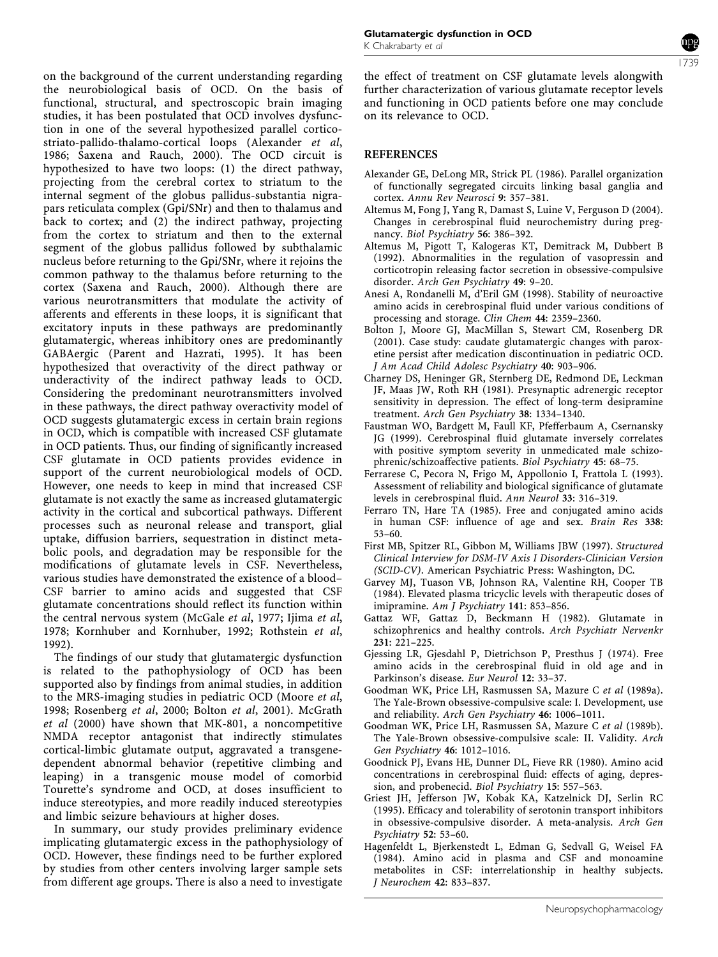on the background of the current understanding regarding the neurobiological basis of OCD. On the basis of functional, structural, and spectroscopic brain imaging studies, it has been postulated that OCD involves dysfunction in one of the several hypothesized parallel corticostriato-pallido-thalamo-cortical loops (Alexander et al, 1986; Saxena and Rauch, 2000). The OCD circuit is hypothesized to have two loops: (1) the direct pathway, projecting from the cerebral cortex to striatum to the internal segment of the globus pallidus-substantia nigrapars reticulata complex (Gpi/SNr) and then to thalamus and back to cortex; and (2) the indirect pathway, projecting from the cortex to striatum and then to the external segment of the globus pallidus followed by subthalamic nucleus before returning to the Gpi/SNr, where it rejoins the common pathway to the thalamus before returning to the cortex (Saxena and Rauch, 2000). Although there are various neurotransmitters that modulate the activity of afferents and efferents in these loops, it is significant that excitatory inputs in these pathways are predominantly glutamatergic, whereas inhibitory ones are predominantly GABAergic (Parent and Hazrati, 1995). It has been hypothesized that overactivity of the direct pathway or underactivity of the indirect pathway leads to OCD. Considering the predominant neurotransmitters involved in these pathways, the direct pathway overactivity model of OCD suggests glutamatergic excess in certain brain regions in OCD, which is compatible with increased CSF glutamate in OCD patients. Thus, our finding of significantly increased CSF glutamate in OCD patients provides evidence in support of the current neurobiological models of OCD. However, one needs to keep in mind that increased CSF glutamate is not exactly the same as increased glutamatergic activity in the cortical and subcortical pathways. Different processes such as neuronal release and transport, glial uptake, diffusion barriers, sequestration in distinct metabolic pools, and degradation may be responsible for the modifications of glutamate levels in CSF. Nevertheless, various studies have demonstrated the existence of a blood– CSF barrier to amino acids and suggested that CSF glutamate concentrations should reflect its function within the central nervous system (McGale et al, 1977; Ijima et al, 1978; Kornhuber and Kornhuber, 1992; Rothstein et al, 1992).

The findings of our study that glutamatergic dysfunction is related to the pathophysiology of OCD has been supported also by findings from animal studies, in addition to the MRS-imaging studies in pediatric OCD (Moore et al, 1998; Rosenberg et al, 2000; Bolton et al, 2001). McGrath et al (2000) have shown that MK-801, a noncompetitive NMDA receptor antagonist that indirectly stimulates cortical-limbic glutamate output, aggravated a transgenedependent abnormal behavior (repetitive climbing and leaping) in a transgenic mouse model of comorbid Tourette's syndrome and OCD, at doses insufficient to induce stereotypies, and more readily induced stereotypies and limbic seizure behaviours at higher doses.

In summary, our study provides preliminary evidence implicating glutamatergic excess in the pathophysiology of OCD. However, these findings need to be further explored by studies from other centers involving larger sample sets from different age groups. There is also a need to investigate

1739

the effect of treatment on CSF glutamate levels alongwith further characterization of various glutamate receptor levels and functioning in OCD patients before one may conclude on its relevance to OCD.

## REFERENCES

- Alexander GE, DeLong MR, Strick PL (1986). Parallel organization of functionally segregated circuits linking basal ganglia and cortex. Annu Rev Neurosci 9: 357–381.
- Altemus M, Fong J, Yang R, Damast S, Luine V, Ferguson D (2004). Changes in cerebrospinal fluid neurochemistry during pregnancy. Biol Psychiatry 56: 386–392.
- Altemus M, Pigott T, Kalogeras KT, Demitrack M, Dubbert B (1992). Abnormalities in the regulation of vasopressin and corticotropin releasing factor secretion in obsessive-compulsive disorder. Arch Gen Psychiatry 49: 9–20.
- Anesi A, Rondanelli M, d'Eril GM (1998). Stability of neuroactive amino acids in cerebrospinal fluid under various conditions of processing and storage. Clin Chem 44: 2359–2360.
- Bolton J, Moore GJ, MacMillan S, Stewart CM, Rosenberg DR (2001). Case study: caudate glutamatergic changes with paroxetine persist after medication discontinuation in pediatric OCD. J Am Acad Child Adolesc Psychiatry 40: 903–906.
- Charney DS, Heninger GR, Sternberg DE, Redmond DE, Leckman JF, Maas JW, Roth RH (1981). Presynaptic adrenergic receptor sensitivity in depression. The effect of long-term desipramine treatment. Arch Gen Psychiatry 38: 1334–1340.
- Faustman WO, Bardgett M, Faull KF, Pfefferbaum A, Csernansky JG (1999). Cerebrospinal fluid glutamate inversely correlates with positive symptom severity in unmedicated male schizophrenic/schizoaffective patients. Biol Psychiatry 45: 68–75.
- Ferrarese C, Pecora N, Frigo M, Appollonio I, Frattola L (1993). Assessment of reliability and biological significance of glutamate levels in cerebrospinal fluid. Ann Neurol 33: 316–319.
- Ferraro TN, Hare TA (1985). Free and conjugated amino acids in human CSF: influence of age and sex. Brain Res 338: 53–60.
- First MB, Spitzer RL, Gibbon M, Williams JBW (1997). Structured Clinical Interview for DSM-IV Axis I Disorders-Clinician Version (SCID-CV). American Psychiatric Press: Washington, DC.
- Garvey MJ, Tuason VB, Johnson RA, Valentine RH, Cooper TB (1984). Elevated plasma tricyclic levels with therapeutic doses of imipramine. Am J Psychiatry 141: 853–856.
- Gattaz WF, Gattaz D, Beckmann H (1982). Glutamate in schizophrenics and healthy controls. Arch Psychiatr Nervenkr 231: 221–225.
- Gjessing LR, Gjesdahl P, Dietrichson P, Presthus J (1974). Free amino acids in the cerebrospinal fluid in old age and in Parkinson's disease. Eur Neurol 12: 33–37.
- Goodman WK, Price LH, Rasmussen SA, Mazure C et al (1989a). The Yale-Brown obsessive-compulsive scale: I. Development, use and reliability. Arch Gen Psychiatry 46: 1006–1011.
- Goodman WK, Price LH, Rasmussen SA, Mazure C et al (1989b). The Yale-Brown obsessive-compulsive scale: II. Validity. Arch Gen Psychiatry 46: 1012–1016.
- Goodnick PJ, Evans HE, Dunner DL, Fieve RR (1980). Amino acid concentrations in cerebrospinal fluid: effects of aging, depression, and probenecid. Biol Psychiatry 15: 557–563.
- Griest JH, Jefferson JW, Kobak KA, Katzelnick DJ, Serlin RC (1995). Efficacy and tolerability of serotonin transport inhibitors in obsessive-compulsive disorder. A meta-analysis. Arch Gen Psychiatry 52: 53–60.
- Hagenfeldt L, Bjerkenstedt L, Edman G, Sedvall G, Weisel FA (1984). Amino acid in plasma and CSF and monoamine metabolites in CSF: interrelationship in healthy subjects. J Neurochem 42: 833–837.